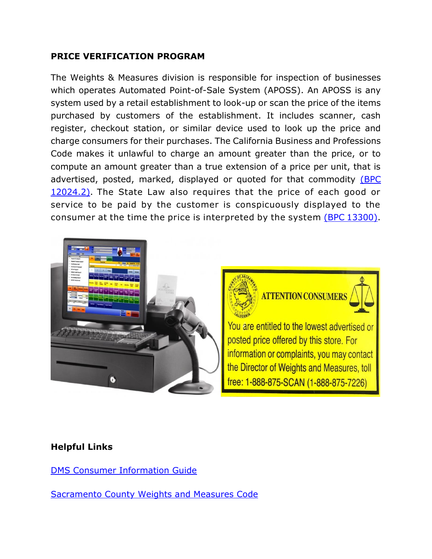## **PRICE VERIFICATION PROGRAM**

The Weights & Measures division is responsible for inspection of businesses which operates Automated Point-of-Sale System (APOSS). An APOSS is any system used by a retail establishment to look-up or scan the price of the items purchased by customers of the establishment. It includes scanner, cash register, checkout station, or similar device used to look up the price and charge consumers for their purchases. The California Business and Professions Code makes it unlawful to charge an amount greater than the price, or to compute an amount greater than a true extension of a price per unit, that is advertised, posted, marked, displayed or quoted for that commodity (BPC [12024.2\).](http://leginfo.legislature.ca.gov/faces/codes_displaySection.xhtml?sectionNum=12024.2&lawCode=BPC) The State Law also requires that the price of each good or service to be paid by the customer is conspicuously displayed to the consumer at the time the price is interpreted by the system [\(BPC 13300\).](http://leginfo.legislature.ca.gov/faces/codes_displaySection.xhtml?sectionNum=13300&lawCode=BPC)





the Director of Weights and Measures, toll free: 1-888-875-SCAN (1-888-875-7226)

## **Helpful Links**

DMS Consumer [Information Guide](https://www.cdfa.ca.gov/dms/programs/qc/QCInfoGuideConsumers.pdf)

[Sacramento County Weights and Measures Code](http://qcode.us/codes/sacramentocounty/view.php?topic=2-2_72&showAll=1&frames=on)